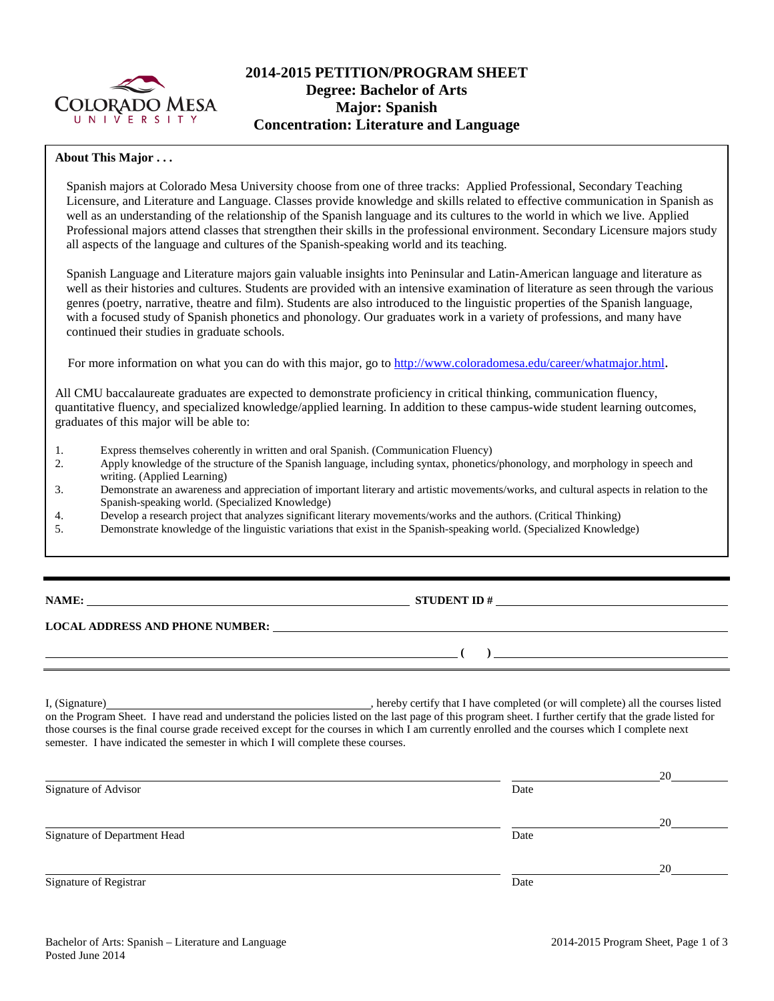

# **2014-2015 PETITION/PROGRAM SHEET Degree: Bachelor of Arts Major: Spanish Concentration: Literature and Language**

### **About This Major . . .**

Spanish majors at Colorado Mesa University choose from one of three tracks: Applied Professional, Secondary Teaching Licensure, and Literature and Language. Classes provide knowledge and skills related to effective communication in Spanish as well as an understanding of the relationship of the Spanish language and its cultures to the world in which we live. Applied Professional majors attend classes that strengthen their skills in the professional environment. Secondary Licensure majors study all aspects of the language and cultures of the Spanish-speaking world and its teaching.

Spanish Language and Literature majors gain valuable insights into Peninsular and Latin-American language and literature as well as their histories and cultures. Students are provided with an intensive examination of literature as seen through the various genres (poetry, narrative, theatre and film). Students are also introduced to the linguistic properties of the Spanish language, with a focused study of Spanish phonetics and phonology. Our graduates work in a variety of professions, and many have continued their studies in graduate schools.

For more information on what you can do with this major, go to [http://www.coloradomesa.edu/career/whatmajor.html.](http://www.coloradomesa.edu/career/whatmajor.html)

All CMU baccalaureate graduates are expected to demonstrate proficiency in critical thinking, communication fluency, quantitative fluency, and specialized knowledge/applied learning. In addition to these campus-wide student learning outcomes, graduates of this major will be able to:

- 1. Express themselves coherently in written and oral Spanish. (Communication Fluency)
- 2. Apply knowledge of the structure of the Spanish language, including syntax, phonetics/phonology, and morphology in speech and writing. (Applied Learning)
- 3. Demonstrate an awareness and appreciation of important literary and artistic movements/works, and cultural aspects in relation to the Spanish-speaking world. (Specialized Knowledge)
- 4. Develop a research project that analyzes significant literary movements/works and the authors. (Critical Thinking)
- 5. Demonstrate knowledge of the linguistic variations that exist in the Spanish-speaking world. (Specialized Knowledge)

| ╲ | ١M<br>١A | Ι۱<br>., |
|---|----------|----------|
|   |          |          |

# **STUDENT ID #**

**( )** 

#### **LOCAL ADDRESS AND PHONE NUMBER:**

I, (Signature) , hereby certify that I have completed (or will complete) all the courses listed on the Program Sheet. I have read and understand the policies listed on the last page of this program sheet. I further certify that the grade listed for those courses is the final course grade received except for the courses in which I am currently enrolled and the courses which I complete next semester. I have indicated the semester in which I will complete these courses.

|                              |      | 20 |
|------------------------------|------|----|
| Signature of Advisor         | Date |    |
|                              |      | 20 |
| Signature of Department Head | Date |    |
|                              |      | 20 |
| Signature of Registrar       | Date |    |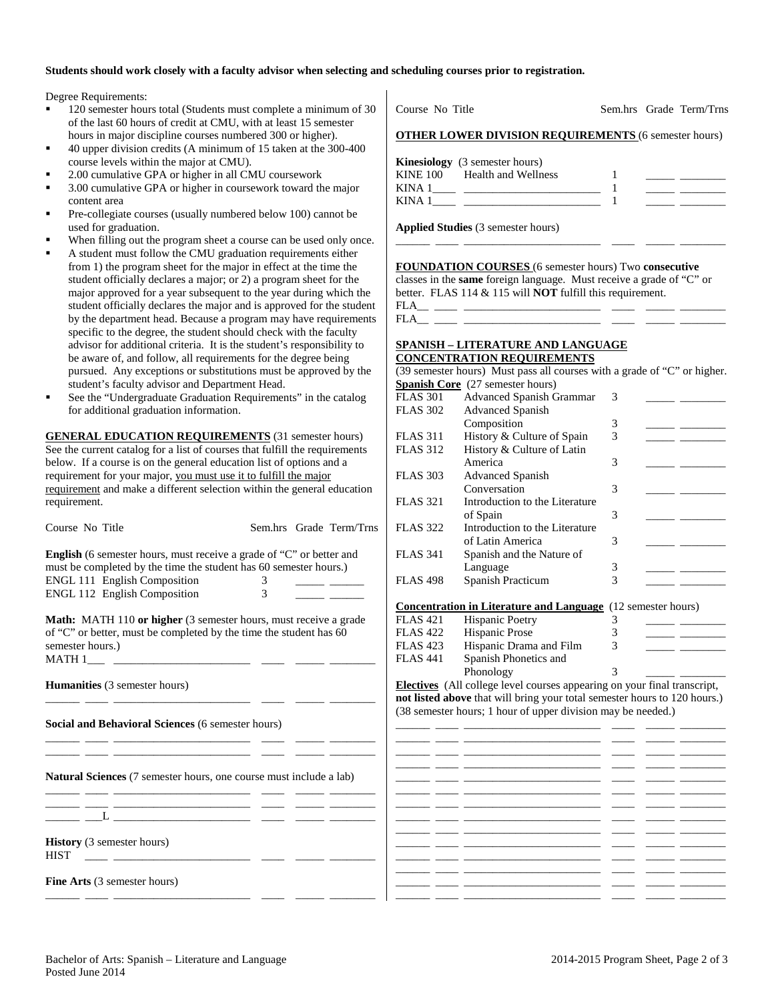#### **Students should work closely with a faculty advisor when selecting and scheduling courses prior to registration.**

Degree Requirements:

- 120 semester hours total (Students must complete a minimum of 30 of the last 60 hours of credit at CMU, with at least 15 semester hours in major discipline courses numbered 300 or higher).
- 40 upper division credits (A minimum of 15 taken at the 300-400 course levels within the major at CMU).
- 2.00 cumulative GPA or higher in all CMU coursework
- 3.00 cumulative GPA or higher in coursework toward the major content area
- Pre-collegiate courses (usually numbered below 100) cannot be used for graduation.
- When filling out the program sheet a course can be used only once.
- A student must follow the CMU graduation requirements either from 1) the program sheet for the major in effect at the time the student officially declares a major; or 2) a program sheet for the major approved for a year subsequent to the year during which the student officially declares the major and is approved for the student by the department head. Because a program may have requirements specific to the degree, the student should check with the faculty advisor for additional criteria. It is the student's responsibility to be aware of, and follow, all requirements for the degree being pursued. Any exceptions or substitutions must be approved by the student's faculty advisor and Department Head.
- See the "Undergraduate Graduation Requirements" in the catalog for additional graduation information.

**GENERAL EDUCATION REQUIREMENTS** (31 semester hours) See the current catalog for a list of courses that fulfill the requirements below. If a course is on the general education list of options and a requirement for your major, you must use it to fulfill the major requirement and make a different selection within the general education requirement.

| Course No Title                                                                                                                                                                                                         |         | Sem.hrs Grade Term/Trns |
|-------------------------------------------------------------------------------------------------------------------------------------------------------------------------------------------------------------------------|---------|-------------------------|
| <b>English</b> (6 semester hours, must receive a grade of "C" or better and<br>must be completed by the time the student has 60 semester hours.)<br><b>ENGL 111 English Composition</b><br>ENGL 112 English Composition | 3.<br>3 |                         |
| <b>Math:</b> MATH 110 or higher (3 semester hours, must receive a grade<br>of "C" or better, must be completed by the time the student has 60<br>semester hours.)                                                       |         |                         |
| <b>Humanities</b> (3 semester hours)                                                                                                                                                                                    |         |                         |
| Social and Behavioral Sciences (6 semester hours)                                                                                                                                                                       |         |                         |
| Natural Sciences (7 semester hours, one course must include a lab)                                                                                                                                                      |         |                         |
|                                                                                                                                                                                                                         |         |                         |
| <b>History</b> (3 semester hours)<br><b>HIST</b><br><u> 1980 - Jan Barbara Barbara, político establecidad e a la contrada de la contrada de la contrada de la contrad</u>                                               |         |                         |
| <b>Fine Arts</b> (3 semester hours)                                                                                                                                                                                     |         |                         |

|        | <b>OTHER LOWER DIVISION REQUIREMENTS (6 semester hours)</b>                |  |  |
|--------|----------------------------------------------------------------------------|--|--|
|        | <b>Kinesiology</b> (3 semester hours)                                      |  |  |
|        | KINE 100 Health and Wellness                                               |  |  |
| KINA 1 | the control of the control of the control of the control of the control of |  |  |
| KINA 1 |                                                                            |  |  |

\_\_\_\_\_\_ \_\_\_\_ \_\_\_\_\_\_\_\_\_\_\_\_\_\_\_\_\_\_\_\_\_\_\_\_ \_\_\_\_ \_\_\_\_\_ \_\_\_\_\_\_\_\_

Course No Title Sem.hrs Grade Term/Trns

**Applied Studies** (3 semester hours)

**FOUNDATION COURSES** (6 semester hours) Two **consecutive**

classes in the **same** foreign language. Must receive a grade of "C" or better. FLAS 114 & 115 will **NOT** fulfill this requirement.

FLA\_\_ \_\_\_\_ \_\_\_\_\_\_\_\_\_\_\_\_\_\_\_\_\_\_\_\_\_\_\_\_ \_\_\_\_ \_\_\_\_\_ \_\_\_\_\_\_\_\_  $FLA$ <sub>\_\_\_</sub> \_\_

#### **SPANISH – LITERATURE AND LANGUAGE CONCENTRATION REQUIREMENTS**

| (39 semester hours) Must pass all courses with a grade of "C" or higher. |                                |   |  |  |
|--------------------------------------------------------------------------|--------------------------------|---|--|--|
| <b>Spanish Core</b> (27 semester hours)                                  |                                |   |  |  |
| <b>FLAS 301</b>                                                          | Advanced Spanish Grammar       | 3 |  |  |
| <b>FLAS 302</b>                                                          | <b>Advanced Spanish</b>        |   |  |  |
|                                                                          | Composition                    | 3 |  |  |
| <b>FLAS</b> 311                                                          | History & Culture of Spain     | 3 |  |  |
| <b>FLAS 312</b>                                                          | History & Culture of Latin     |   |  |  |
|                                                                          | America                        | 3 |  |  |
| <b>FLAS 303</b>                                                          | <b>Advanced Spanish</b>        |   |  |  |
|                                                                          | Conversation                   | 3 |  |  |
| <b>FLAS 321</b>                                                          | Introduction to the Literature |   |  |  |
|                                                                          | of Spain                       | 3 |  |  |
| <b>FLAS 322</b>                                                          | Introduction to the Literature |   |  |  |
|                                                                          | of Latin America               | 3 |  |  |
| <b>FLAS</b> 341                                                          | Spanish and the Nature of      |   |  |  |
|                                                                          | Language                       | 3 |  |  |
| <b>FLAS 498</b>                                                          | Spanish Practicum              | 3 |  |  |
|                                                                          |                                |   |  |  |

#### **Concentration in Literature and Language** (12 semester hours)

| FLAS 421 | <b>Hispanic Poetry</b>              |  |
|----------|-------------------------------------|--|
| FLAS 422 | Hispanic Prose                      |  |
| FLAS 423 | Hispanic Drama and Film             |  |
| FLAS 441 | Spanish Phonetics and               |  |
|          | Phonology                           |  |
| . .      | $\sqrt{11}$ $\sqrt{11}$ $\sqrt{11}$ |  |

**Electives** (All college level courses appearing on your final transcript, **not listed above** that will bring your total semester hours to 120 hours.) (38 semester hours; 1 hour of upper division may be needed.)